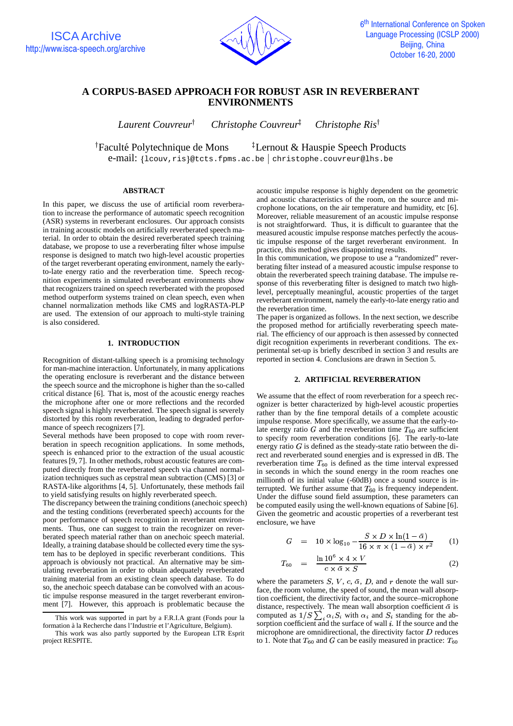

# **A CORPUS-BASED APPROACH FOR ROBUST ASR IN REVERBERANT ENVIRONMENTS**

*Laurent Couvreur Christophe Couvreur Christophe Ris*

<sup>†</sup>Faculté Polytechnique de Mons <sup>†</sup>Lerno <sup>†</sup>Lernout & Hauspie Speech Products

 $e$ -mail: {lcouv,ris}@tcts.fpms.ac.be christophe.couvreur@lhs.be

## **ABSTRACT**

In this paper, we discuss the use of artificial room reverberation to increase the performance of automatic speech recognition (ASR) systems in reverberant enclosures. Our approach consists in training acoustic models on artificially reverberated speech material. In order to obtain the desired reverberated speech training database, we propose to use a reverberating filter whose impulse response is designed to match two high-level acoustic properties of the target reverberant operating environment, namely the earlyto-late energy ratio and the reverberation time. Speech recognition experiments in simulated reverberant environments show that recognizers trained on speech reverberated with the proposed method outperform systems trained on clean speech, even when channel normalization methods like CMS and logRASTA-PLP are used. The extension of our approach to multi-style training is also considered.

# **1. INTRODUCTION**

Recognition of distant-talking speech is a promising technology for man-machine interaction. Unfortunately, in many applications the operating enclosure is reverberant and the distance between the speech source and the microphone is higher than the so-called critical distance [6]. That is, most of the acoustic energy reaches the microphone after one or more reflections and the recorded speech signal is highly reverberated. The speech signal is severely distorted by this room reverberation, leading to degraded performance of speech recognizers [7].

Several methods have been proposed to cope with room reverberation in speech recognition applications. In some methods, speech is enhanced prior to the extraction of the usual acoustic features[9, 7]. In other methods, robust acoustic features are computed directly from the reverberated speech via channel normalization techniques such as cepstral mean subtraction (CMS) [3] or RASTA-like algorithms  $[4, 5]$ . Unfortunately, these methods fail to yield satisfying results on highly reverberated speech.

The discrepancy between the training conditions(anechoic speech) and the testing conditions (reverberated speech) accounts for the poor performance of speech recognition in reverberant environments. Thus, one can suggest to train the recognizer on reverberated speech material rather than on anechoic speech material. Ideally, a training database should be collected every time the system has to be deployed in specific reverberant conditions. This approach is obviously not practical. An alternative may be simulating reverberation in order to obtain adequately reverberated training material from an existing clean speech database. To do so, the anechoic speech database can be convolved with an acoustic impulse response measured in the target reverberant environment [7]. However, this approach is problematic because the

acoustic impulse response is highly dependent on the geometric and acoustic characteristics of the room, on the source and microphone locations, on the air temperature and humidity, etc [6]. Moreover, reliable measurement of an acoustic impulse response is not straightforward. Thus, it is difficult to guarantee that the measured acoustic impulse response matches perfectly the acoustic impulse response of the target reverberant environment. In practice, this method gives disappointing results.

In this communication, we propose to use a "randomized" reverberating filter instead of a measured acoustic impulse response to obtain the reverberated speech training database. The impulse response of this reverberating filter is designed to match two highlevel, perceptually meaningful, acoustic properties of the target reverberant environment, namely the early-to-late energy ratio and the reverberation time.

The paper is organized as follows. In the next section, we describe the proposed method for artificially reverberating speech material. The efficiency of our approach is then assessed by connected digit recognition experiments in reverberant conditions. The experimental set-up is briefly described in section 3 and results are reported in section 4. Conclusions are drawn in Section 5.

#### **2. ARTIFICIAL REVERBERATION**

We assume that the effect of room reverberation for a speech recognizer is better characterized by high-level acoustic properties rather than by the fine temporal details of a complete acoustic impulse response. More specifically, we assume that the early-tolate energy ratio  $G$  and the reverberation time  $T_{60}$  are sufficient to specify room reverberation conditions [6]. The early-to-late energy ratio  $G$  is defined as the steady-state ratio between the direct and reverberated sound energies and is expressed in dB. The reverberation time  $T_{60}$  is defined as the time interval expressed in seconds in which the sound energy in the room reaches one millionth of its initial value (-60dB) once a sound source is interrupted. We further assume that  $T_{60}$  is frequency independent. Under the diffuse sound field assumption, these parameters can be computed easily using the well-known equations of Sabine [6]. Given the geometric and acoustic properties of a reverberant test enclosure, we have

$$
G = 10 \times \log_{10} - \frac{S \times D \times \ln(1 - \bar{\alpha})}{16 \times \pi \times (1 - \bar{\alpha}) \times r^2}
$$
 (1)

$$
T_{60} = \frac{\ln 10^6 \times 4 \times V}{c \times \bar{\alpha} \times S} \tag{2}
$$

where the parameters  $S, V, c, \bar{\alpha}, D$ , and r denote the wall sur face, the room volume, the speed of sound, the mean wall absorption coefficient, the directivity factor, and the source–microphone distance, respectively. The mean wall absorption coefficient  $\bar{\alpha}$  is computed as  $1/S \sum_i \alpha_i S_i$  with  $\alpha_i$  and  $S_i$  standing for the ab-<br>corption coefficient and the surface of well is If the source and the sorption coefficient and the surface of wall  $i$ . If the source and the microphone are omnidirectional, the directivity factor  $D$  reduces to 1. Note that  $T_{60}$  and G can be easily measured in practice:  $T_{60}$ 

This work was supported in part by a F.R.I.A grant (Fonds pour la formation a` la Recherche dans l'Industrie et l'Agriculture, Belgium).

This work was also partly supported by the European LTR Esprit project RESPITE.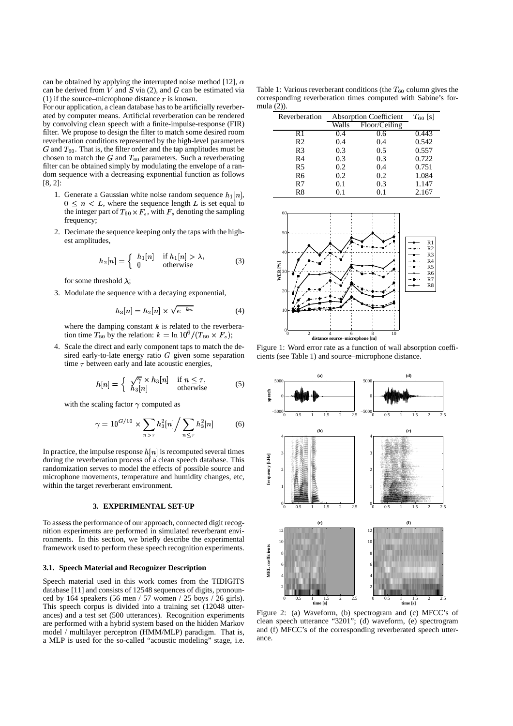can be obtained by applying the interrupted noise method [12],  $\bar{\alpha}$ can be derived from  $V$  and  $S$  via (2), and  $G$  can be estimated via (1) if the source–microphone distance  $r$  is known.

For our application, a clean database has to be artificially reverberated by computer means. Artificial reverberation can be rendered by convolving clean speech with a finite-impulse-response (FIR) filter. We propose to design the filter to match some desired room reverberation conditions represented by the high-level parameters  $G$  and  $T_{60}$ . That is, the filter order and the tap amplitudes must be chosen to match the  $G$  and  $T_{60}$  parameters. Such a reverberating filter can be obtained simply by modulating the envelope of a random sequence with a decreasing exponential function as follows [8, 2]:

- 1. Generate a Gaussian white noise random sequence  $h_1[n]$ ,  $0 \le n \le L$ , where the sequence length L is set equal to the integer part of  $T_{60} \times F_s$ , with  $F_s$  denoting the sampling frequency;
- 2. Decimate the sequence keeping only the taps with the highest amplitudes,

$$
h_2[n] = \begin{cases} h_1[n] & \text{if } h_1[n] > \lambda, \\ 0 & \text{otherwise} \end{cases} \tag{3}
$$

for some threshold  $\lambda$ :

3. Modulate the sequence with a decaying exponential,

$$
h_3[n] = h_2[n] \times \sqrt{e^{-kn}} \tag{4}
$$

where the damping constant  $k$  is related to the reverberation time  $T_{60}$  by the relation:  $k = \ln 10^6 / (T_{60} \times F_s);$ 

4. Scale the direct and early component taps to match the desired early-to-late energy ratio  $G$  given some separation time  $\tau$  between early and late acoustic energies,

$$
h[n] = \begin{cases} \sqrt{\gamma} \times h_3[n] & \text{if } n \le \tau, \\ h_3[n] & \text{otherwise} \end{cases}
$$
 (5)

with the scaling factor  $\gamma$  computed as

$$
\gamma = 10^{G/10} \times \sum_{n > \tau} h_3^2[n] / \sum_{n \le \tau} h_3^2[n] \tag{6}
$$

In practice, the impulse response  $h[n]$  is recomputed several times during the reverberation process of a clean speech database. This randomization serves to model the effects of possible source and microphone movements, temperature and humidity changes, etc, within the target reverberant environment.

## **3. EXPERIMENTAL SET-UP**

To assess the performance of our approach, connected digit recognition experiments are performed in simulated reverberant environments. In this section, we briefly describe the experimental framework used to perform these speech recognition experiments.

### **3.1. Speech Material and Recognizer Description**

Speech material used in this work comes from the TIDIGITS database [11] and consists of 12548 sequences of digits, pronounced by 164 speakers (56 men / 57 women / 25 boys / 26 girls). This speech corpus is divided into a training set (12048 utterances) and a test set (500 utterances). Recognition experiments are performed with a hybrid system based on the hidden Markov model / multilayer perceptron (HMM/MLP) paradigm. That is, a MLP is used for the so-called "acoustic modeling" stage, i.e.

Table 1: Various reverberant conditions (the  $T_{60}$  column gives the corresponding reverberation times computed with Sabine's formula  $(2)$ ).

| Reverberation  | <b>Absorption Coefficient</b> |               | $T_{60}$ [s] |
|----------------|-------------------------------|---------------|--------------|
|                | Walls                         | Floor/Ceiling |              |
| R1             | 0.4                           | 0.6           | 0.443        |
| R <sub>2</sub> | 0.4                           | 0.4           | 0.542        |
| R <sub>3</sub> | 0.3                           | 0.5           | 0.557        |
| R <sub>4</sub> | 0.3                           | 0.3           | 0.722        |
| R5             | 0.2                           | 0.4           | 0.751        |
| R6             | 0.2                           | 0.2           | 1.084        |
| R7             | 0.1                           | 0.3           | 1.147        |
| R8             | 0.1                           | 0.1           | 2.167        |



Figure 1: Word error rate as a function of wall absorption coefficients (see Table 1) and source–microphone distance.



Figure 2: (a) Waveform, (b) spectrogram and (c) MFCC's of clean speech utterance "3201"; (d) waveform, (e) spectrogram and (f) MFCC's of the corresponding reverberated speech utterance.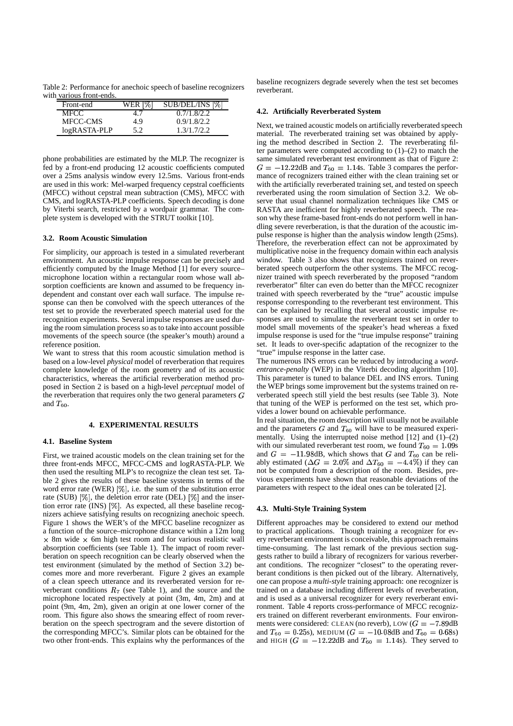Table 2: Performance for anechoic speech of baseline recognizers with various front-ends.

| Front-end    | WER [%] | SUB/DEL/INS [%] |
|--------------|---------|-----------------|
| MFCC         |         | 0.7/1.8/2.2     |
| MFCC-CMS     | 4.9     | 0.9/1.8/2.2     |
| logRASTA-PLP | 5.2     | 1.3/1.7/2.2     |

phone probabilities are estimated by the MLP. The recognizer is fed by a front-end producing 12 acoustic coefficients computed over a 25ms analysis window every 12.5ms. Various front-ends are used in this work: Mel-warped frequency cepstral coefficients (MFCC) without cepstral mean subtraction (CMS), MFCC with CMS, and logRASTA-PLP coefficients. Speech decoding is done by Viterbi search, restricted by a wordpair grammar. The complete system is developed with the STRUT toolkit [10].

## **3.2. Room Acoustic Simulation**

For simplicity, our approach is tested in a simulated reverberant environment. An acoustic impulse response can be precisely and efficiently computed by the Image Method [1] for every source– microphone location within a rectangular room whose wall absorption coefficients are known and assumed to be frequency independent and constant over each wall surface. The impulse response can then be convolved with the speech utterances of the test set to provide the reverberated speech material used for the recognition experiments. Several impulse responses are used during the room simulation process so as to take into account possible movements of the speech source (the speaker's mouth) around a reference position.

We want to stress that this room acoustic simulation method is based on a low-level *physical* model of reverberation that requires complete knowledge of the room geometry and of its acoustic characteristics, whereas the artificial reverberation method proposed in Section 2 is based on a high-level *perceptual* model of the reverberation that requires only the two general parameters  $G$ and  $T_{60}$ .

## **4. EXPERIMENTAL RESULTS**

#### **4.1. Baseline System**

First, we trained acoustic models on the clean training set for the three front-ends MFCC, MFCC-CMS and logRASTA-PLP. We then used the resulting MLP's to recognize the clean test set. Table 2 gives the results of these baseline systems in terms of the word error rate (WER)  $[\%]$ , i.e. the sum of the substitution error rate (SUB)  $[\%]$ , the deletion error rate (DEL)  $[\%]$  and the insertion error rate (INS)  $[\%]$ . As expected, all these baseline recognizers achieve satisfying results on recognizing anechoic speech. Figure 1 shows the WER's of the MFCC baseline recognizer as a function of the source–microphone distance within a 12m long  $\times$  8m wide  $\times$  6m high test room and for various realistic wall absorption coefficients (see Table 1). The impact of room reverberation on speech recognition can be clearly observed when the test environment (simulated by the method of Section 3.2) becomes more and more reverberant. Figure 2 gives an example of a clean speech utterance and its reverberated version for reverberant conditions  $R_7$  (see Table 1), and the source and the microphone located respectively at point (3m, 4m, 2m) and at point (9m, 4m, 2m), given an origin at one lower corner of the room. This figure also shows the smearing effect of room reverberation on the speech spectrogram and the severe distortion of the corresponding MFCC's. Similar plots can be obtained for the two other front-ends. This explains why the performances of the

baseline recognizers degrade severely when the test set becomes reverberant.

## **4.2. Artificially Reverberated System**

Next, we trained acoustic models on artificially reverberated speech material. The reverberated training set was obtained by applying the method described in Section 2. The reverberating filter parameters were computed according to  $(1)$ – $(2)$  to match the same simulated reverberant test environment as that of Figure 2:  $G = -12.22$ dB and  $T_{60} = 1.14$ s. Table 3 compares the performance of recognizers trained either with the clean training set or with the artificially reverberated training set, and tested on speech reverberated using the room simulation of Section 3.2. We observe that usual channel normalization techniques like CMS or RASTA are inefficient for highly reverberated speech. The reason why these frame-based front-ends do not perform well in handling severe reverberation, is that the duration of the acoustic impulse response is higher than the analysis window length (25ms). Therefore, the reverberation effect can not be approximated by multiplicative noise in the frequency domain within each analysis window. Table 3 also shows that recognizers trained on reverberated speech outperform the other systems. The MFCC recognizer trained with speech reverberated by the proposed "random reverberator" filter can even do better than the MFCC recognizer trained with speech reverberated by the "true" acoustic impulse response corresponding to the reverberant test environment. This can be explained by recalling that several acoustic impulse responses are used to simulate the reverberant test set in order to model small movements of the speaker's head whereas a fixed impulse response is used for the "true impulse response" training set. It leads to over-specific adaptation of the recognizer to the "true" impulse response in the latter case.

The numerous INS errors can be reduced by introducing a *wordentrance-penalty* (WEP) in the Viterbi decoding algorithm [10]. This parameter is tuned to balance DEL and INS errors. Tuning the WEP brings some improvement but the systems trained on reverberated speech still yield the best results (see Table 3). Note that tuning of the WEP is performed on the test set, which provides a lower bound on achievable performance.

In real situation, the room description will usually not be available and the parameters  $G$  and  $T_{60}$  will have to be measured experimentally. Using the interrupted noise method [12] and (1)–(2) with our simulated reverberant test room, we found  $T_{60} = 1.09$ s and  $G = -11.98$ dB, which shows that G and  $T_{60}$  can be reliably estimated ( $\Delta G = 2.0\%$  and  $\Delta T_{60} = -4.4\%$ ) if they can not be computed from a description of the room. Besides, previous experiments have shown that reasonable deviations of the parameters with respect to the ideal ones can be tolerated [2].

### **4.3. Multi-Style Training System**

Different approaches may be considered to extend our method to practical applications. Though training a recognizer for every reverberant environment is conceivable, this approach remains time-consuming. The last remark of the previous section suggests rather to build a library of recognizers for various reverberant conditions. The recognizer "closest" to the operating reverberant conditions is then picked out of the library. Alternatively, one can propose a *multi-style* training approach: one recognizer is trained on a database including different levels of reverberation, and is used as a universal recognizer for every reverberant environment. Table 4 reports cross-performance of MFCC recognizers trained on different reverberant environments. Four environments were considered: CLEAN (no reverb), LOW  $(G = -7.89$ dB and  $T_{60} = 0.25$ s), MEDIUM ( $G = -10.08$ dB and  $T_{60} = 0.68$ s) and HIGH  $(G = -12.22 \text{dB}$  and  $T_{60} = 1.14 \text{s}$ ). They served to